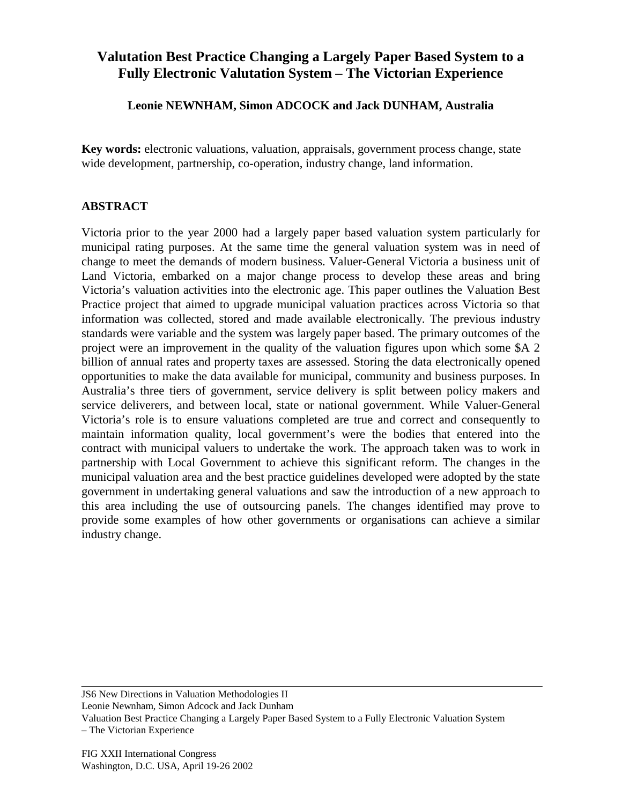## **Valutation Best Practice Changing a Largely Paper Based System to a Fully Electronic Valutation System – The Victorian Experience**

**Leonie NEWNHAM, Simon ADCOCK and Jack DUNHAM, Australia**

**Key words:** electronic valuations, valuation, appraisals, government process change, state wide development, partnership, co-operation, industry change, land information.

## **ABSTRACT**

Victoria prior to the year 2000 had a largely paper based valuation system particularly for municipal rating purposes. At the same time the general valuation system was in need of change to meet the demands of modern business. Valuer-General Victoria a business unit of Land Victoria, embarked on a major change process to develop these areas and bring Victoria's valuation activities into the electronic age. This paper outlines the Valuation Best Practice project that aimed to upgrade municipal valuation practices across Victoria so that information was collected, stored and made available electronically. The previous industry standards were variable and the system was largely paper based. The primary outcomes of the project were an improvement in the quality of the valuation figures upon which some \$A 2 billion of annual rates and property taxes are assessed. Storing the data electronically opened opportunities to make the data available for municipal, community and business purposes. In Australia's three tiers of government, service delivery is split between policy makers and service deliverers, and between local, state or national government. While Valuer-General Victoria's role is to ensure valuations completed are true and correct and consequently to maintain information quality, local government's were the bodies that entered into the contract with municipal valuers to undertake the work. The approach taken was to work in partnership with Local Government to achieve this significant reform. The changes in the municipal valuation area and the best practice guidelines developed were adopted by the state government in undertaking general valuations and saw the introduction of a new approach to this area including the use of outsourcing panels. The changes identified may prove to provide some examples of how other governments or organisations can achieve a similar industry change.

Leonie Newnham, Simon Adcock and Jack Dunham

JS6 New Directions in Valuation Methodologies II

Valuation Best Practice Changing a Largely Paper Based System to a Fully Electronic Valuation System

<sup>–</sup> The Victorian Experience